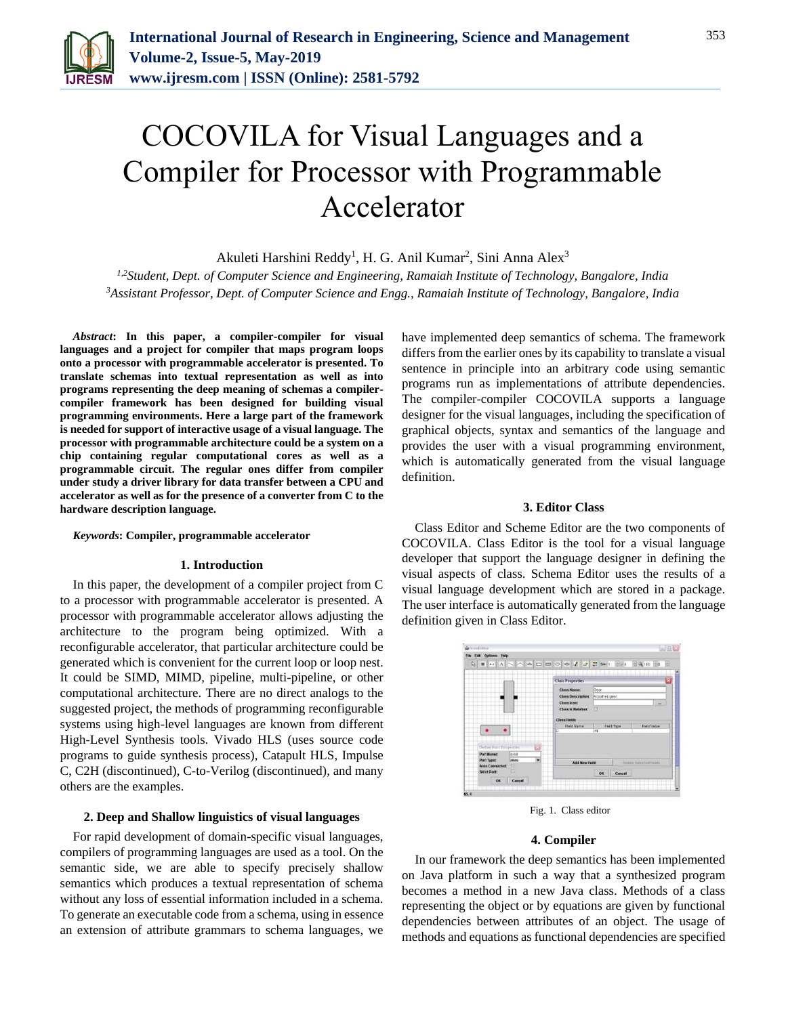

# COCOVILA for Visual Languages and a Compiler for Processor with Programmable Accelerator

Akuleti Harshini Reddy<sup>1</sup>, H. G. Anil Kumar<sup>2</sup>, Sini Anna Alex<sup>3</sup>

*1,2Student, Dept. of Computer Science and Engineering, Ramaiah Institute of Technology, Bangalore, India 3Assistant Professor, Dept. of Computer Science and Engg., Ramaiah Institute of Technology, Bangalore, India*

*Abstract***: In this paper, a compiler-compiler for visual languages and a project for compiler that maps program loops onto a processor with programmable accelerator is presented. To translate schemas into textual representation as well as into programs representing the deep meaning of schemas a compilercompiler framework has been designed for building visual programming environments. Here a large part of the framework is needed for support of interactive usage of a visual language. The processor with programmable architecture could be a system on a chip containing regular computational cores as well as a programmable circuit. The regular ones differ from compiler under study a driver library for data transfer between a CPU and accelerator as well as for the presence of a converter from C to the hardware description language.**

## *Keywords***: Compiler, programmable accelerator**

#### **1. Introduction**

In this paper, the development of a compiler project from C to a processor with programmable accelerator is presented. A processor with programmable accelerator allows adjusting the architecture to the program being optimized. With a reconfigurable accelerator, that particular architecture could be generated which is convenient for the current loop or loop nest. It could be SIMD, MIMD, pipeline, multi-pipeline, or other computational architecture. There are no direct analogs to the suggested project, the methods of programming reconfigurable systems using high-level languages are known from different High-Level Synthesis tools. Vivado HLS (uses source code programs to guide synthesis process), Catapult HLS, Impulse C, C2H (discontinued), C-to-Verilog (discontinued), and many others are the examples.

## **2. Deep and Shallow linguistics of visual languages**

For rapid development of domain-specific visual languages, compilers of programming languages are used as a tool. On the semantic side, we are able to specify precisely shallow semantics which produces a textual representation of schema without any loss of essential information included in a schema. To generate an executable code from a schema, using in essence an extension of attribute grammars to schema languages, we

have implemented deep semantics of schema. The framework differs from the earlier ones by its capability to translate a visual sentence in principle into an arbitrary code using semantic programs run as implementations of attribute dependencies. The compiler-compiler COCOVILA supports a language designer for the visual languages, including the specification of graphical objects, syntax and semantics of the language and provides the user with a visual programming environment, which is automatically generated from the visual language definition.

## **3. Editor Class**

Class Editor and Scheme Editor are the two components of COCOVILA. Class Editor is the tool for a visual language developer that support the language designer in defining the visual aspects of class. Schema Editor uses the results of a visual language development which are stored in a package. The user interface is automatically generated from the language definition given in Class Editor.



Fig. 1. Class editor

#### **4. Compiler**

In our framework the deep semantics has been implemented on Java platform in such a way that a synthesized program becomes a method in a new Java class. Methods of a class representing the object or by equations are given by functional dependencies between attributes of an object. The usage of methods and equations as functional dependencies are specified